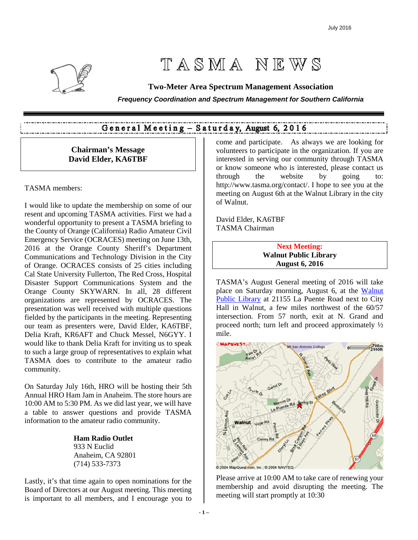

# TASMA NEWS

# **Two-Meter Area Spectrum Management Association**

**Frequency Coordination and Spectrum Management for Southern California** 

# General Meeting - Saturday, August 6, 2016

# **Chairman's Message David Elder, KA6TBF**

## TASMA members:

I would like to update the membership on some of our resent and upcoming TASMA activities. First we had a wonderful opportunity to present a TASMA briefing to the County of Orange (California) Radio Amateur Civil Emergency Service (OCRACES) meeting on June 13th, 2016 at the Orange County Sheriff's Department Communications and Technology Division in the City of Orange. OCRACES consists of 25 cities including Cal State University Fullerton, The Red Cross, Hospital Disaster Support Communications System and the Orange County SKYWARN. In all, 28 different organizations are represented by OCRACES. The presentation was well received with multiple questions fielded by the participants in the meeting. Representing our team as presenters were, David Elder, KA6TBF, Delia Kraft, KR6AFT and Chuck Messel, N6GYY. I would like to thank Delia Kraft for inviting us to speak to such a large group of representatives to explain what TASMA does to contribute to the amateur radio community.

On Saturday July 16th, HRO will be hosting their 5th Annual HRO Ham Jam in Anaheim. The store hours are 10:00 AM to 5:30 PM. As we did last year, we will have a table to answer questions and provide TASMA information to the amateur radio community.

> **Ham Radio Outlet**  933 N Euclid Anaheim, CA 92801 (714) 533-7373

Lastly, it's that time again to open nominations for the Board of Directors at our August meeting. This meeting is important to all members, and I encourage you to

come and participate. As always we are looking for volunteers to participate in the organization. If you are interested in serving our community through TASMA or know someone who is interested, please contact us through the website by going to: http://www.tasma.org/contact/. I hope to see you at the meeting on August 6th at the Walnut Library in the city of Walnut.

David Elder, KA6TBF TASMA Chairman

> **Next Meeting: Walnut Public Library August 6, 2016**

TASMA's August General meeting of 2016 will take place on Saturday morning, August 6, at the Walnut Public Library at 21155 La Puente Road next to City Hall in Walnut, a few miles northwest of the 60/57 intersection. From 57 north, exit at N. Grand and proceed north; turn left and proceed approximately ½ mile.



Please arrive at 10:00 AM to take care of renewing your membership and avoid disrupting the meeting. The meeting will start promptly at 10:30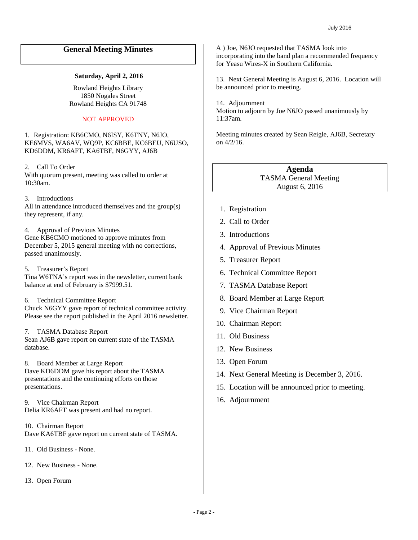# **General Meeting Minutes**

#### **Saturday, April 2, 2016**

Rowland Heights Library 1850 Nogales Street Rowland Heights CA 91748

#### NOT APPROVED

1. Registration: KB6CMO, N6ISY, K6TNY, N6JO, KE6MVS, WA6AV, WQ9P, KC6BBE, KC6BEU, N6USO, KD6DDM, KR6AFT, KA6TBF, N6GYY, AJ6B

2. Call To Order With quorum present, meeting was called to order at 10:30am.

3. Introductions All in attendance introduced themselves and the group(s) they represent, if any.

#### 4. Approval of Previous Minutes

Gene KB6CMO motioned to approve minutes from December 5, 2015 general meeting with no corrections, passed unanimously.

5. Treasurer's Report Tina W6TNA's report was in the newsletter, current bank balance at end of February is \$7999.51.

6. Technical Committee Report Chuck N6GYY gave report of technical committee activity.

Please see the report published in the April 2016 newsletter.

# 7. TASMA Database Report

Sean AJ6B gave report on current state of the TASMA database.

8. Board Member at Large Report Dave KD6DDM gave his report about the TASMA presentations and the continuing efforts on those presentations.

9. Vice Chairman Report Delia KR6AFT was present and had no report.

10. Chairman Report Dave KA6TBF gave report on current state of TASMA.

11. Old Business - None.

12. New Business - None.

13. Open Forum

A ) Joe, N6JO requested that TASMA look into incorporating into the band plan a recommended frequency for Yeasu Wires-X in Southern California.

13. Next General Meeting is August 6, 2016. Location will be announced prior to meeting.

14. Adjournment Motion to adjourn by Joe N6JO passed unanimously by 11:37am.

Meeting minutes created by Sean Reigle, AJ6B, Secretary on 4/2/16.

> **Agenda**  TASMA General Meeting August 6, 2016

- 1. Registration
- 2. Call to Order
- 3. Introductions
- 4. Approval of Previous Minutes
- 5. Treasurer Report
- 6. Technical Committee Report
- 7. TASMA Database Report
- 8. Board Member at Large Report
- 9. Vice Chairman Report
- 10. Chairman Report
- 11. Old Business
- 12. New Business
- 13. Open Forum
- 14. Next General Meeting is December 3, 2016.
- 15. Location will be announced prior to meeting.
- 16. Adjournment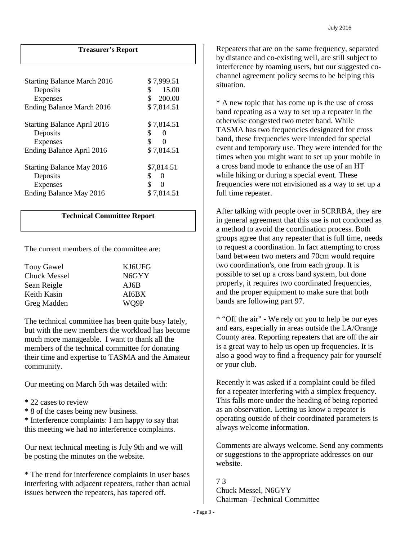# **Treasurer's Report**

| <b>Starting Balance March 2016</b><br>Deposits<br><b>Expenses</b><br>Ending Balance March 2016 | \$7,999.51<br>\$<br>15.00<br>\$<br>200.00<br>\$7,814.51      |
|------------------------------------------------------------------------------------------------|--------------------------------------------------------------|
| <b>Starting Balance April 2016</b><br>Deposits<br>Expenses<br>Ending Balance April 2016        | \$7,814.51<br>\$<br>$\theta$<br>\$<br>$\Omega$<br>\$7,814.51 |
| <b>Starting Balance May 2016</b><br>Deposits<br><b>Expenses</b><br>Ending Balance May 2016     | \$7,814.51<br>\$<br>0<br>\$<br>0<br>\$7,814.51               |

## **Technical Committee Report**

The current members of the committee are:

| KJ6UFG |
|--------|
| N6GYY  |
| AJ6B   |
| AI6BX  |
| WO9P   |
|        |

The technical committee has been quite busy lately, but with the new members the workload has become much more manageable. I want to thank all the members of the technical committee for donating their time and expertise to TASMA and the Amateur community.

Our meeting on March 5th was detailed with:

- \* 22 cases to review
- \* 8 of the cases being new business.

\* Interference complaints: I am happy to say that this meeting we had no interference complaints.

Our next technical meeting is July 9th and we will be posting the minutes on the website.

\* The trend for interference complaints in user bases interfering with adjacent repeaters, rather than actual issues between the repeaters, has tapered off.

Repeaters that are on the same frequency, separated by distance and co-existing well, are still subject to interference by roaming users, but our suggested cochannel agreement policy seems to be helping this situation.

\* A new topic that has come up is the use of cross band repeating as a way to set up a repeater in the otherwise congested two meter band. While TASMA has two frequencies designated for cross band, these frequencies were intended for special event and temporary use. They were intended for the times when you might want to set up your mobile in a cross band mode to enhance the use of an HT while hiking or during a special event. These frequencies were not envisioned as a way to set up a full time repeater.

After talking with people over in SCRRBA, they are in general agreement that this use is not condoned as a method to avoid the coordination process. Both groups agree that any repeater that is full time, needs to request a coordination. In fact attempting to cross band between two meters and 70cm would require two coordination's, one from each group. It is possible to set up a cross band system, but done properly, it requires two coordinated frequencies, and the proper equipment to make sure that both bands are following part 97.

\* "Off the air" - We rely on you to help be our eyes and ears, especially in areas outside the LA/Orange County area. Reporting repeaters that are off the air is a great way to help us open up frequencies. It is also a good way to find a frequency pair for yourself or your club.

Recently it was asked if a complaint could be filed for a repeater interfering with a simplex frequency. This falls more under the heading of being reported as an observation. Letting us know a repeater is operating outside of their coordinated parameters is always welcome information.

Comments are always welcome. Send any comments or suggestions to the appropriate addresses on our website.

7 3 Chuck Messel, N6GYY Chairman -Technical Committee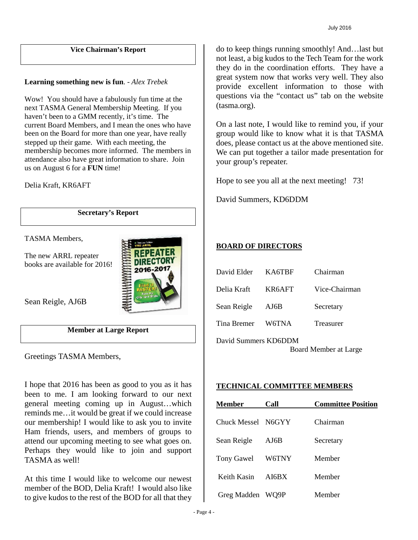## **Vice Chairman's Report**

# **Learning something new is fun**. - *Alex Trebek*

Wow! You should have a fabulously fun time at the next TASMA General Membership Meeting. If you haven't been to a GMM recently, it's time. The current Board Members, and I mean the ones who have been on the Board for more than one year, have really stepped up their game. With each meeting, the membership becomes more informed. The members in attendance also have great information to share. Join us on August 6 for a **FUN** time!

Delia Kraft, KR6AFT

**Secretary's Report** 

2016-20

TASMA Members,

The new ARRL repeater books are available for 2016!



# **Member at Large Report**

Greetings TASMA Members,

I hope that 2016 has been as good to you as it has been to me. I am looking forward to our next general meeting coming up in August…which reminds me…it would be great if we could increase our membership! I would like to ask you to invite Ham friends, users, and members of groups to attend our upcoming meeting to see what goes on. Perhaps they would like to join and support TASMA as well!

At this time I would like to welcome our newest member of the BOD, Delia Kraft! I would also like to give kudos to the rest of the BOD for all that they

do to keep things running smoothly! And…last but not least, a big kudos to the Tech Team for the work they do in the coordination efforts. They have a great system now that works very well. They also provide excellent information to those with questions via the "contact us" tab on the website (tasma.org).

On a last note, I would like to remind you, if your group would like to know what it is that TASMA does, please contact us at the above mentioned site. We can put together a tailor made presentation for your group's repeater.

Hope to see you all at the next meeting! 73!

David Summers, KD6DDM

# **BOARD OF DIRECTORS**

| David Elder                                   | KA6TBF | Chairman      |  |  |  |  |  |
|-----------------------------------------------|--------|---------------|--|--|--|--|--|
| Delia Kraft                                   | KR6AFT | Vice-Chairman |  |  |  |  |  |
| Sean Reigle                                   | AJ6B   | Secretary     |  |  |  |  |  |
| Tina Bremer                                   | W6TNA  | Treasurer     |  |  |  |  |  |
| David Summers KD6DDM<br>Board Member at Large |        |               |  |  |  |  |  |

## **TECHNICAL COMMITTEE MEMBERS**

| <b>Member</b>     | Call  | <b>Committee Position</b> |  |  |  |
|-------------------|-------|---------------------------|--|--|--|
| Chuck Messel      | N6GYY | Chairman                  |  |  |  |
| Sean Reigle       | AJ6B  | Secretary                 |  |  |  |
| <b>Tony Gawel</b> | W6TNY | Member                    |  |  |  |
| Keith Kasin       | AI6BX | Member                    |  |  |  |
| Greg Madden       | WO9P  | Member                    |  |  |  |